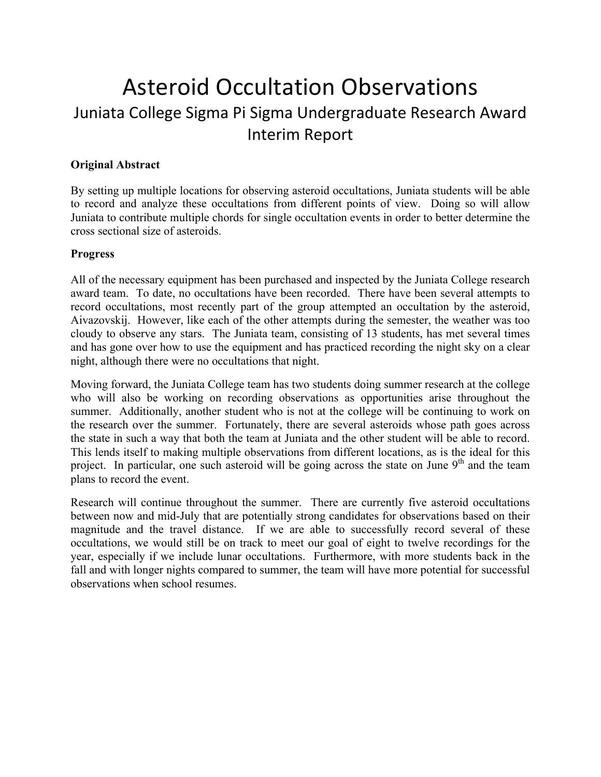## Asteroid Occultation Observations Juniata College Sigma Pi Sigma Undergraduate Research Award Interim Report

## **Original Abstract**

By setting up multiple locations for observing asteroid occultations, Juniata students will be able to record and analyze these occultations from different points of view. Doing so will allow Juniata to contribute multiple chords for single occultation events in order to better determine the cross sectional size of asteroids.

## **Progress**

All of the necessary equipment has been purchased and inspected by the Juniata College research award team. To date, no occultations have been recorded. There have been several attempts to record occultations, most recently part of the group attempted an occultation by the asteroid, Aivazovskij. However, like each of the other attempts during the semester, the weather was too cloudy to observe any stars. The Juniata team, consisting of 13 students, has met several times and has gone over how to use the equipment and has practiced recording the night sky on a clear night, although there were no occultations that night.

Moving forward, the Juniata College team has two students doing summer research at the college who will also be working on recording observations as opportunities arise throughout the summer. Additionally, another student who is not at the college will be continuing to work on the research over the summer. Fortunately, there are several asteroids whose path goes across the state in such a way that both the team at Juniata and the other student will be able to record. This lends itself to making multiple observations from different locations, as is the ideal for this project. In particular, one such asteroid will be going across the state on June  $9<sup>th</sup>$  and the team plans to record the event.

Research will continue throughout the summer. There are currently five asteroid occultations between now and mid-July that are potentially strong candidates for observations based on their magnitude and the travel distance. If we are able to successfully record several of these occultations, we would still be on track to meet our goal of eight to twelve recordings for the year, especially if we include lunar occultations. Furthermore, with more students back in the fall and with longer nights compared to summer, the team will have more potential for successful observations when school resumes.